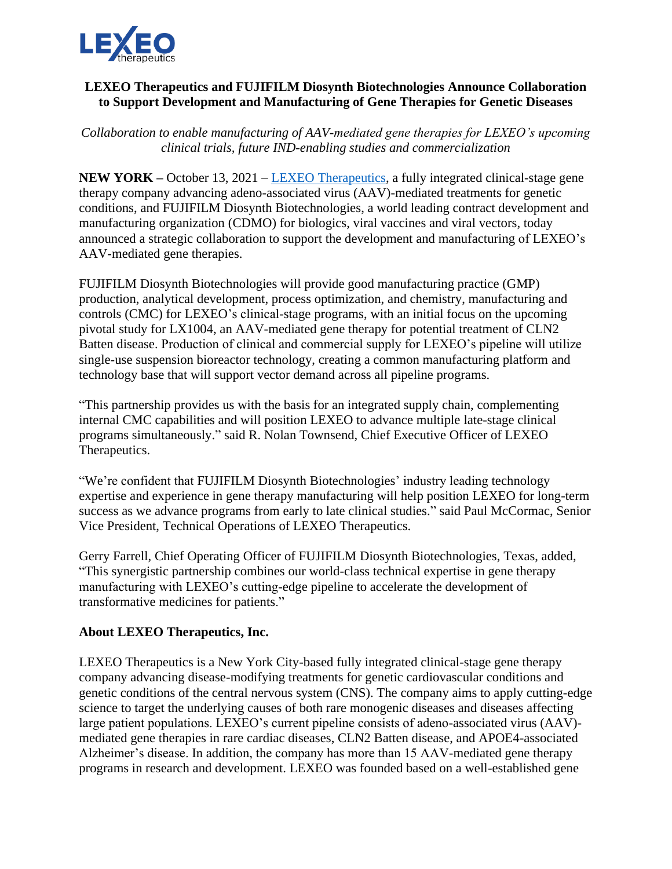

## **LEXEO Therapeutics and FUJIFILM Diosynth Biotechnologies Announce Collaboration to Support Development and Manufacturing of Gene Therapies for Genetic Diseases**

*Collaboration to enable manufacturing of AAV-mediated gene therapies for LEXEO's upcoming clinical trials, future IND-enabling studies and commercialization*

**NEW YORK –** October 13, 2021 – [LEXEO Therapeutics,](https://www.lexeotx.com/) a fully integrated clinical-stage gene therapy company advancing adeno-associated virus (AAV)-mediated treatments for genetic conditions, and FUJIFILM Diosynth Biotechnologies, a world leading contract development and manufacturing organization (CDMO) for biologics, viral vaccines and viral vectors, today announced a strategic collaboration to support the development and manufacturing of LEXEO's AAV-mediated gene therapies.

FUJIFILM Diosynth Biotechnologies will provide good manufacturing practice (GMP) production, analytical development, process optimization, and chemistry, manufacturing and controls (CMC) for LEXEO's clinical-stage programs, with an initial focus on the upcoming pivotal study for LX1004, an AAV-mediated gene therapy for potential treatment of CLN2 Batten disease. Production of clinical and commercial supply for LEXEO's pipeline will utilize single-use suspension bioreactor technology, creating a common manufacturing platform and technology base that will support vector demand across all pipeline programs.

"This partnership provides us with the basis for an integrated supply chain, complementing internal CMC capabilities and will position LEXEO to advance multiple late-stage clinical programs simultaneously." said R. Nolan Townsend, Chief Executive Officer of LEXEO Therapeutics.

"We're confident that FUJIFILM Diosynth Biotechnologies' industry leading technology expertise and experience in gene therapy manufacturing will help position LEXEO for long-term success as we advance programs from early to late clinical studies." said Paul McCormac, Senior Vice President, Technical Operations of LEXEO Therapeutics.

Gerry Farrell, Chief Operating Officer of FUJIFILM Diosynth Biotechnologies, Texas, added, "This synergistic partnership combines our world-class technical expertise in gene therapy manufacturing with LEXEO's cutting-edge pipeline to accelerate the development of transformative medicines for patients."

## **About LEXEO Therapeutics, Inc.**

LEXEO Therapeutics is a New York City-based fully integrated clinical-stage gene therapy company advancing disease-modifying treatments for genetic cardiovascular conditions and genetic conditions of the central nervous system (CNS). The company aims to apply cutting-edge science to target the underlying causes of both rare monogenic diseases and diseases affecting large patient populations. LEXEO's current pipeline consists of adeno-associated virus (AAV) mediated gene therapies in rare cardiac diseases, CLN2 Batten disease, and APOE4-associated Alzheimer's disease. In addition, the company has more than 15 AAV-mediated gene therapy programs in research and development. LEXEO was founded based on a well-established gene